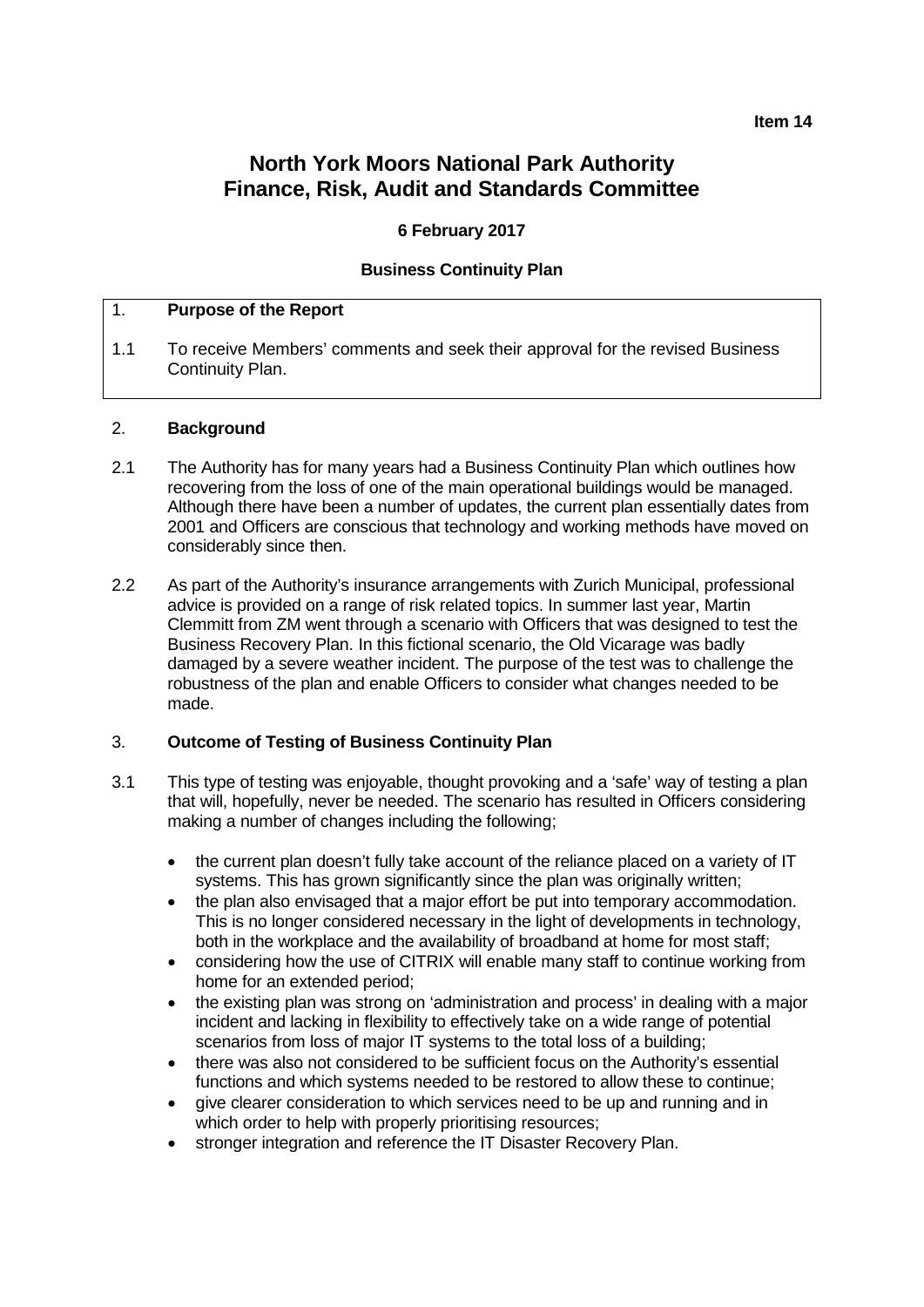### **Item 14**

# **North York Moors National Park Authority Finance, Risk, Audit and Standards Committee**

### **6 February 2017**

### **Business Continuity Plan**

### 1. **Purpose of the Report**

1.1 To receive Members' comments and seek their approval for the revised Business Continuity Plan.

#### 2. **Background**

- 2.1 The Authority has for many years had a Business Continuity Plan which outlines how recovering from the loss of one of the main operational buildings would be managed. Although there have been a number of updates, the current plan essentially dates from 2001 and Officers are conscious that technology and working methods have moved on considerably since then.
- 2.2 As part of the Authority's insurance arrangements with Zurich Municipal, professional advice is provided on a range of risk related topics. In summer last year, Martin Clemmitt from ZM went through a scenario with Officers that was designed to test the Business Recovery Plan. In this fictional scenario, the Old Vicarage was badly damaged by a severe weather incident. The purpose of the test was to challenge the robustness of the plan and enable Officers to consider what changes needed to be made.

### 3. **Outcome of Testing of Business Continuity Plan**

- 3.1 This type of testing was enjoyable, thought provoking and a 'safe' way of testing a plan that will, hopefully, never be needed. The scenario has resulted in Officers considering making a number of changes including the following;
	- the current plan doesn't fully take account of the reliance placed on a variety of IT systems. This has grown significantly since the plan was originally written;
	- the plan also envisaged that a major effort be put into temporary accommodation. This is no longer considered necessary in the light of developments in technology, both in the workplace and the availability of broadband at home for most staff;
	- considering how the use of CITRIX will enable many staff to continue working from home for an extended period;
	- the existing plan was strong on 'administration and process' in dealing with a major incident and lacking in flexibility to effectively take on a wide range of potential scenarios from loss of major IT systems to the total loss of a building;
	- there was also not considered to be sufficient focus on the Authority's essential functions and which systems needed to be restored to allow these to continue;
	- give clearer consideration to which services need to be up and running and in which order to help with properly prioritising resources;
	- stronger integration and reference the IT Disaster Recovery Plan.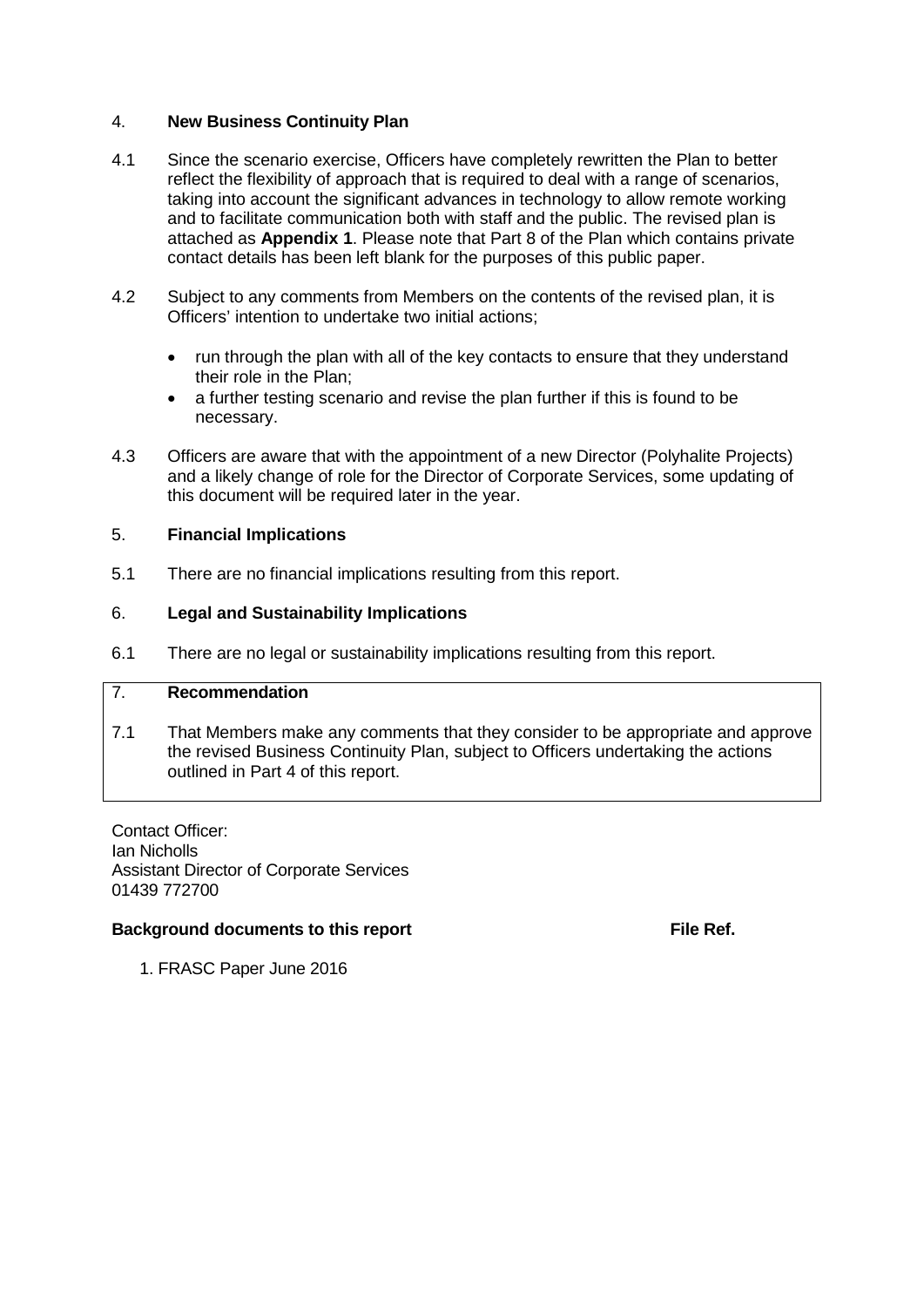## 4. **New Business Continuity Plan**

- 4.1 Since the scenario exercise, Officers have completely rewritten the Plan to better reflect the flexibility of approach that is required to deal with a range of scenarios, taking into account the significant advances in technology to allow remote working and to facilitate communication both with staff and the public. The revised plan is attached as **Appendix 1**. Please note that Part 8 of the Plan which contains private contact details has been left blank for the purposes of this public paper.
- 4.2 Subject to any comments from Members on the contents of the revised plan, it is Officers' intention to undertake two initial actions;
	- run through the plan with all of the key contacts to ensure that they understand their role in the Plan;
	- a further testing scenario and revise the plan further if this is found to be necessary.
- 4.3 Officers are aware that with the appointment of a new Director (Polyhalite Projects) and a likely change of role for the Director of Corporate Services, some updating of this document will be required later in the year.

### 5. **Financial Implications**

5.1 There are no financial implications resulting from this report.

### 6. **Legal and Sustainability Implications**

6.1 There are no legal or sustainability implications resulting from this report.

# 7. **Recommendation**

7.1 That Members make any comments that they consider to be appropriate and approve the revised Business Continuity Plan, subject to Officers undertaking the actions outlined in Part 4 of this report.

Contact Officer: Ian Nicholls Assistant Director of Corporate Services 01439 772700

### **Background documents to this report File Ref. File Ref.**

1. FRASC Paper June 2016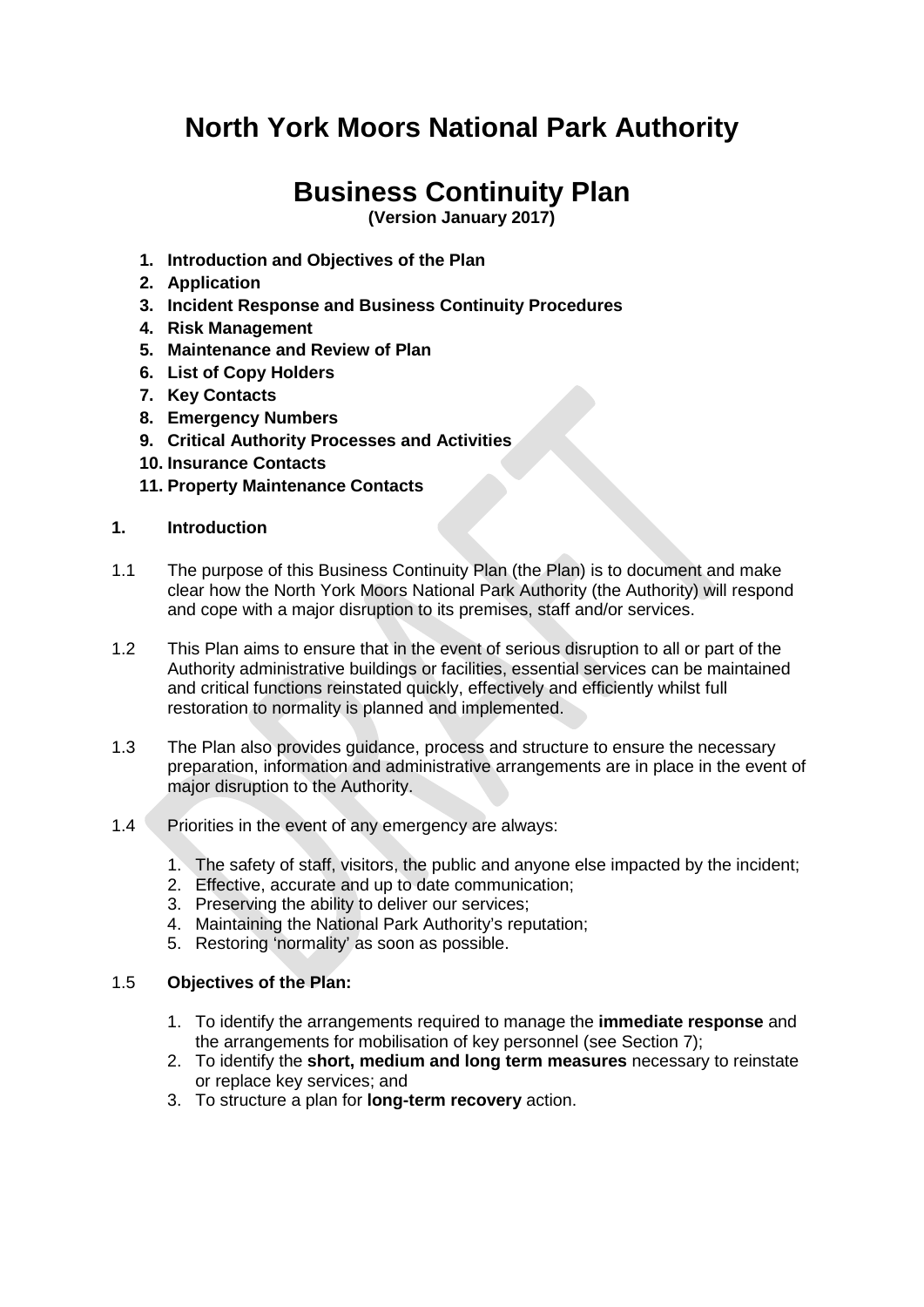# **North York Moors National Park Authority**

# **Business Continuity Plan**

**(Version January 2017)**

- **1. Introduction and Objectives of the Plan**
- **2. Application**
- **3. Incident Response and Business Continuity Procedures**
- **4. Risk Management**
- **5. Maintenance and Review of Plan**
- **6. List of Copy Holders**
- **7. Key Contacts**
- **8. Emergency Numbers**
- **9. Critical Authority Processes and Activities**
- **10. Insurance Contacts**
- **11. Property Maintenance Contacts**

### **1. Introduction**

- 1.1 The purpose of this Business Continuity Plan (the Plan) is to document and make clear how the North York Moors National Park Authority (the Authority) will respond and cope with a major disruption to its premises, staff and/or services.
- 1.2 This Plan aims to ensure that in the event of serious disruption to all or part of the Authority administrative buildings or facilities, essential services can be maintained and critical functions reinstated quickly, effectively and efficiently whilst full restoration to normality is planned and implemented.
- 1.3 The Plan also provides guidance, process and structure to ensure the necessary preparation, information and administrative arrangements are in place in the event of major disruption to the Authority.
- 1.4 Priorities in the event of any emergency are always:
	- 1. The safety of staff, visitors, the public and anyone else impacted by the incident;
	- 2. Effective, accurate and up to date communication;
	- 3. Preserving the ability to deliver our services;
	- 4. Maintaining the National Park Authority's reputation;
	- 5. Restoring 'normality' as soon as possible.

### 1.5 **Objectives of the Plan:**

- 1. To identify the arrangements required to manage the **immediate response** and the arrangements for mobilisation of key personnel (see Section 7);
- 2. To identify the **short, medium and long term measures** necessary to reinstate or replace key services; and
- 3. To structure a plan for **long-term recovery** action.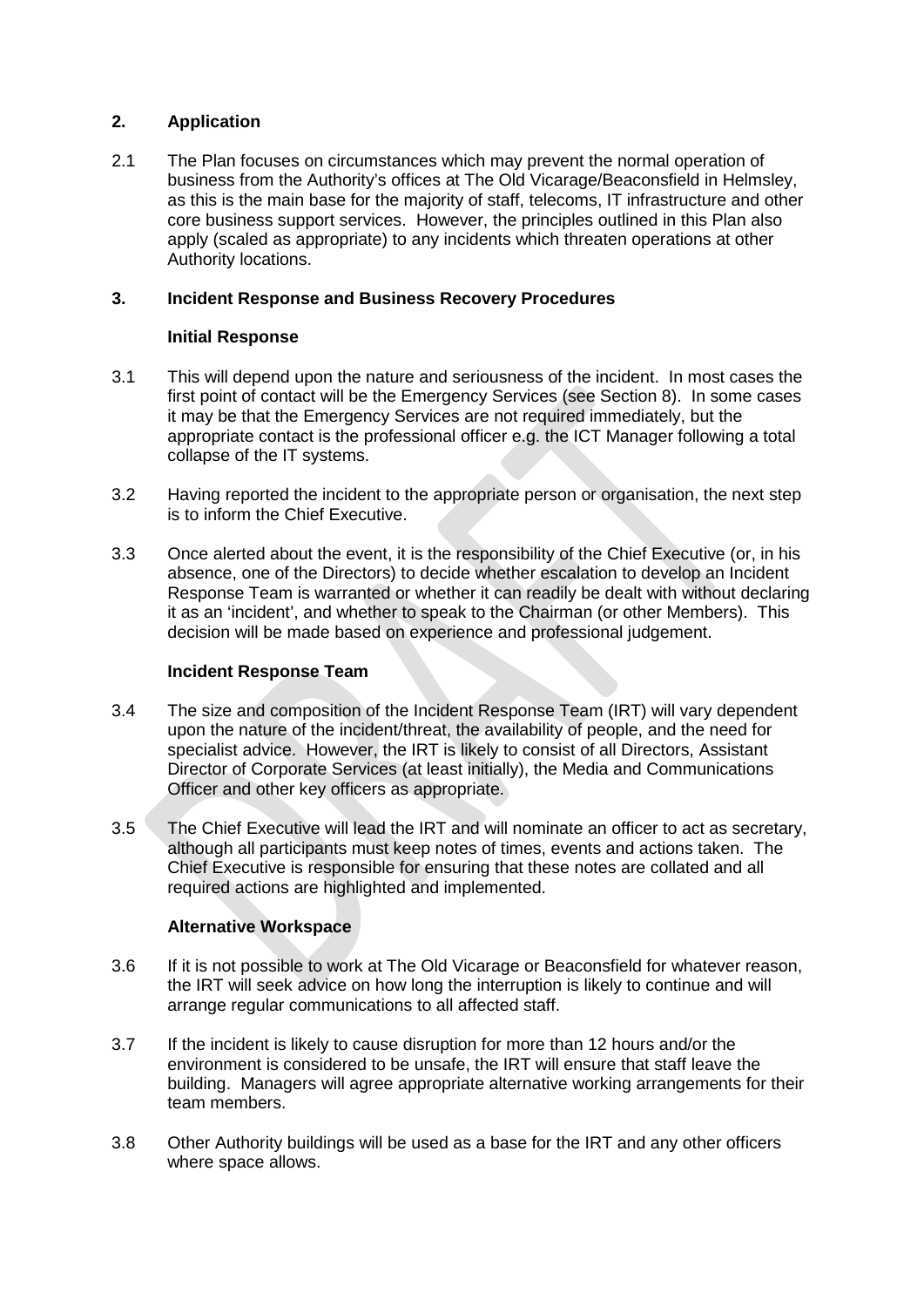# **2. Application**

2.1 The Plan focuses on circumstances which may prevent the normal operation of business from the Authority's offices at The Old Vicarage/Beaconsfield in Helmsley, as this is the main base for the majority of staff, telecoms, IT infrastructure and other core business support services. However, the principles outlined in this Plan also apply (scaled as appropriate) to any incidents which threaten operations at other Authority locations.

## **3. Incident Response and Business Recovery Procedures**

## **Initial Response**

- 3.1 This will depend upon the nature and seriousness of the incident. In most cases the first point of contact will be the Emergency Services (see Section 8). In some cases it may be that the Emergency Services are not required immediately, but the appropriate contact is the professional officer e.g. the ICT Manager following a total collapse of the IT systems.
- 3.2 Having reported the incident to the appropriate person or organisation, the next step is to inform the Chief Executive.
- 3.3 Once alerted about the event, it is the responsibility of the Chief Executive (or, in his absence, one of the Directors) to decide whether escalation to develop an Incident Response Team is warranted or whether it can readily be dealt with without declaring it as an 'incident', and whether to speak to the Chairman (or other Members). This decision will be made based on experience and professional judgement.

### **Incident Response Team**

- 3.4 The size and composition of the Incident Response Team (IRT) will vary dependent upon the nature of the incident/threat, the availability of people, and the need for specialist advice. However, the IRT is likely to consist of all Directors, Assistant Director of Corporate Services (at least initially), the Media and Communications Officer and other key officers as appropriate.
- 3.5 The Chief Executive will lead the IRT and will nominate an officer to act as secretary, although all participants must keep notes of times, events and actions taken. The Chief Executive is responsible for ensuring that these notes are collated and all required actions are highlighted and implemented.

# **Alternative Workspace**

- 3.6 If it is not possible to work at The Old Vicarage or Beaconsfield for whatever reason, the IRT will seek advice on how long the interruption is likely to continue and will arrange regular communications to all affected staff.
- 3.7 If the incident is likely to cause disruption for more than 12 hours and/or the environment is considered to be unsafe, the IRT will ensure that staff leave the building. Managers will agree appropriate alternative working arrangements for their team members.
- 3.8 Other Authority buildings will be used as a base for the IRT and any other officers where space allows.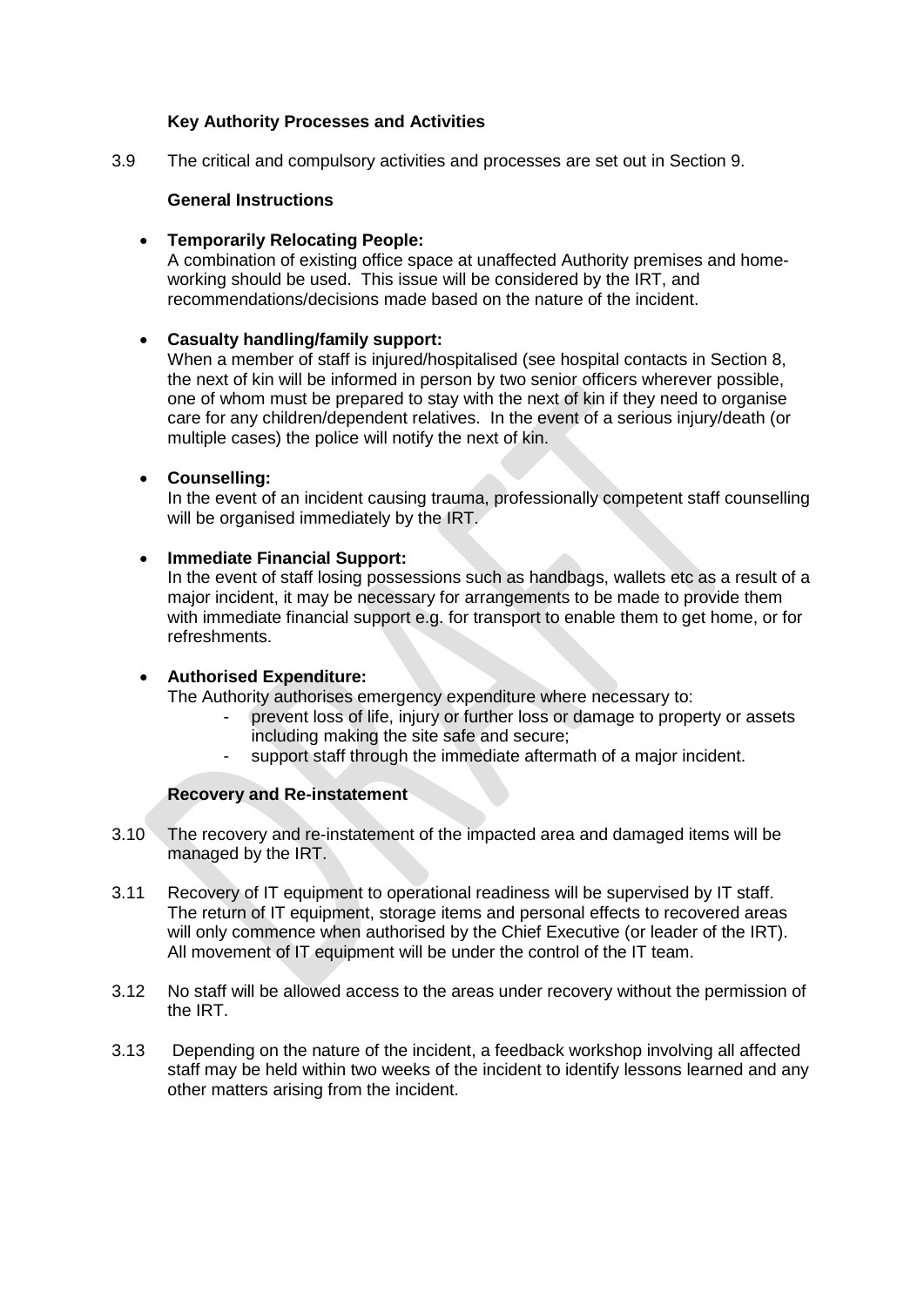### **Key Authority Processes and Activities**

3.9 The critical and compulsory activities and processes are set out in Section 9.

### **General Instructions**

• **Temporarily Relocating People:**

A combination of existing office space at unaffected Authority premises and homeworking should be used. This issue will be considered by the IRT, and recommendations/decisions made based on the nature of the incident.

### • **Casualty handling/family support:**

When a member of staff is injured/hospitalised (see hospital contacts in Section 8, the next of kin will be informed in person by two senior officers wherever possible, one of whom must be prepared to stay with the next of kin if they need to organise care for any children/dependent relatives. In the event of a serious injury/death (or multiple cases) the police will notify the next of kin.

### • **Counselling:**

In the event of an incident causing trauma, professionally competent staff counselling will be organised immediately by the IRT.

### • **Immediate Financial Support:**

In the event of staff losing possessions such as handbags, wallets etc as a result of a major incident, it may be necessary for arrangements to be made to provide them with immediate financial support e.g. for transport to enable them to get home, or for refreshments.

#### • **Authorised Expenditure:**

The Authority authorises emergency expenditure where necessary to:

- prevent loss of life, injury or further loss or damage to property or assets including making the site safe and secure;
- support staff through the immediate aftermath of a major incident.

### **Recovery and Re-instatement**

- 3.10 The recovery and re-instatement of the impacted area and damaged items will be managed by the IRT.
- 3.11 Recovery of IT equipment to operational readiness will be supervised by IT staff. The return of IT equipment, storage items and personal effects to recovered areas will only commence when authorised by the Chief Executive (or leader of the IRT). All movement of IT equipment will be under the control of the IT team.
- 3.12 No staff will be allowed access to the areas under recovery without the permission of the IRT.
- 3.13 Depending on the nature of the incident, a feedback workshop involving all affected staff may be held within two weeks of the incident to identify lessons learned and any other matters arising from the incident.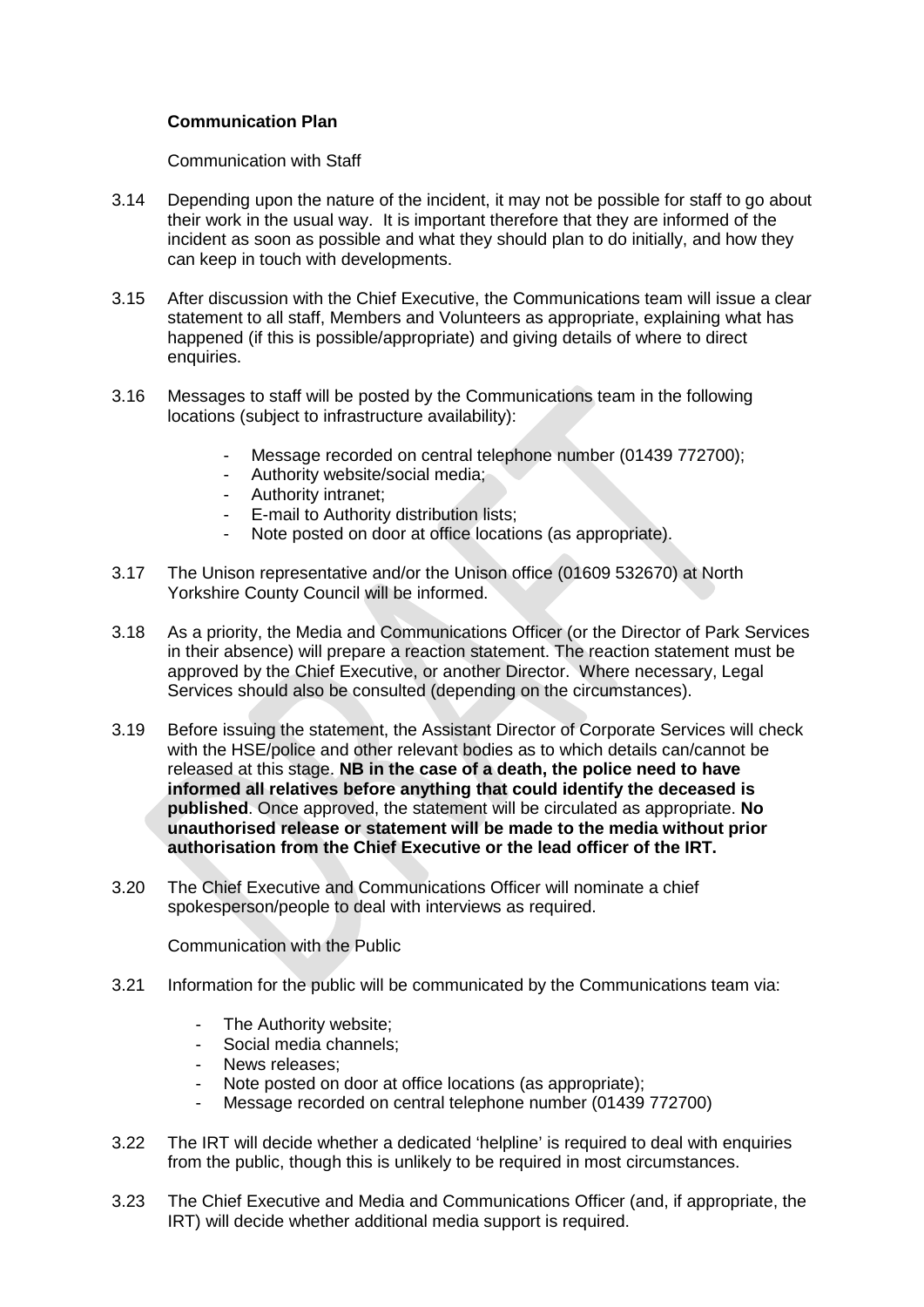# **Communication Plan**

Communication with Staff

- 3.14 Depending upon the nature of the incident, it may not be possible for staff to go about their work in the usual way. It is important therefore that they are informed of the incident as soon as possible and what they should plan to do initially, and how they can keep in touch with developments.
- 3.15 After discussion with the Chief Executive, the Communications team will issue a clear statement to all staff, Members and Volunteers as appropriate, explaining what has happened (if this is possible/appropriate) and giving details of where to direct enquiries.
- 3.16 Messages to staff will be posted by the Communications team in the following locations (subject to infrastructure availability):
	- Message recorded on central telephone number (01439 772700);
	- Authority website/social media;
	- Authority intranet;
	- E-mail to Authority distribution lists;
	- Note posted on door at office locations (as appropriate).
- 3.17 The Unison representative and/or the Unison office (01609 532670) at North Yorkshire County Council will be informed.
- 3.18 As a priority, the Media and Communications Officer (or the Director of Park Services in their absence) will prepare a reaction statement. The reaction statement must be approved by the Chief Executive, or another Director. Where necessary, Legal Services should also be consulted (depending on the circumstances).
- 3.19 Before issuing the statement, the Assistant Director of Corporate Services will check with the HSE/police and other relevant bodies as to which details can/cannot be released at this stage. **NB in the case of a death, the police need to have informed all relatives before anything that could identify the deceased is published**. Once approved, the statement will be circulated as appropriate. **No unauthorised release or statement will be made to the media without prior authorisation from the Chief Executive or the lead officer of the IRT.**
- 3.20 The Chief Executive and Communications Officer will nominate a chief spokesperson/people to deal with interviews as required.

Communication with the Public

- 3.21 Information for the public will be communicated by the Communications team via:
	- The Authority website;
	- Social media channels:
	- News releases;
	- Note posted on door at office locations (as appropriate);
	- Message recorded on central telephone number (01439 772700)
- 3.22 The IRT will decide whether a dedicated 'helpline' is required to deal with enquiries from the public, though this is unlikely to be required in most circumstances.
- 3.23 The Chief Executive and Media and Communications Officer (and, if appropriate, the IRT) will decide whether additional media support is required.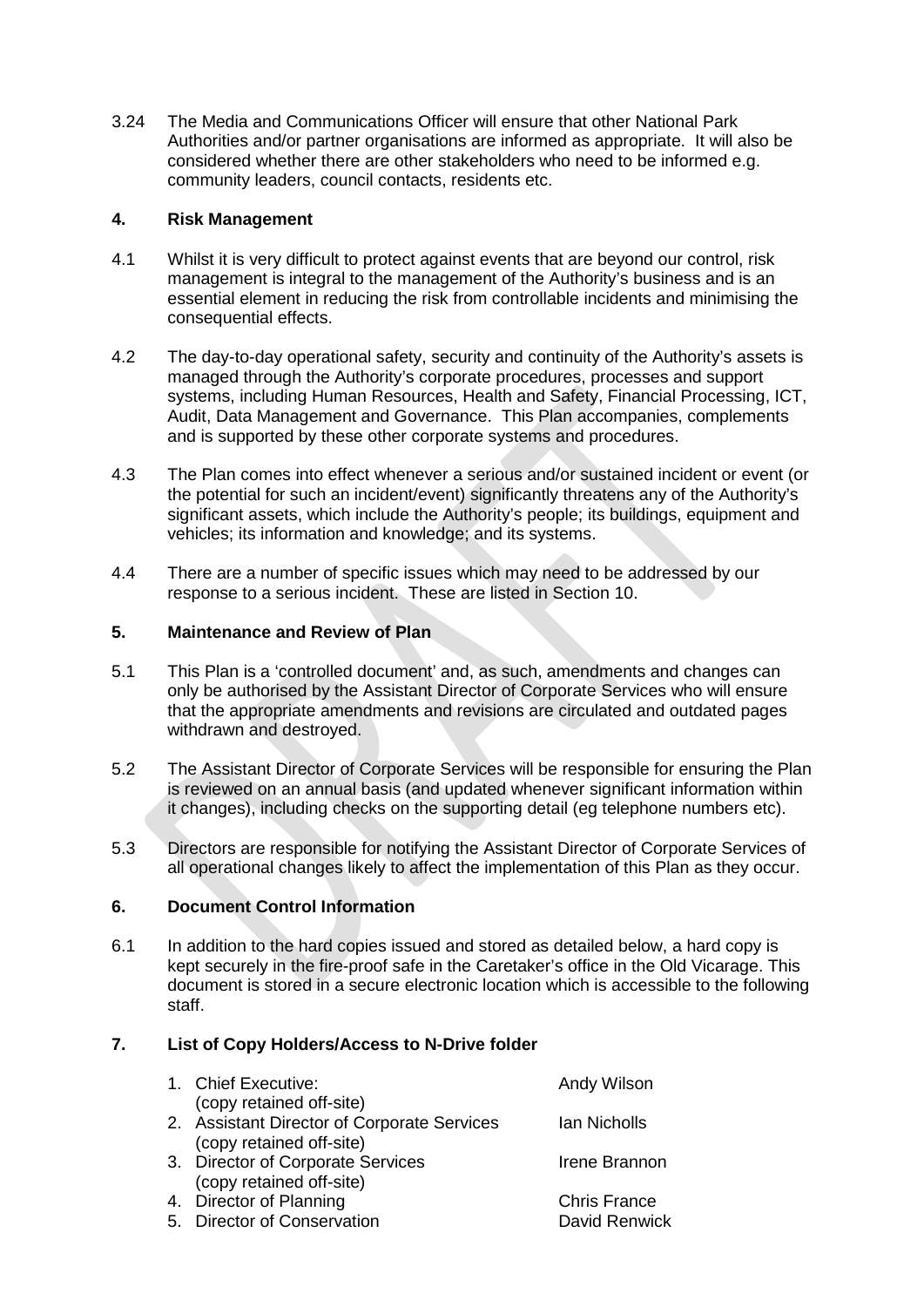3.24 The Media and Communications Officer will ensure that other National Park Authorities and/or partner organisations are informed as appropriate. It will also be considered whether there are other stakeholders who need to be informed e.g. community leaders, council contacts, residents etc.

## **4. Risk Management**

- 4.1 Whilst it is very difficult to protect against events that are beyond our control, risk management is integral to the management of the Authority's business and is an essential element in reducing the risk from controllable incidents and minimising the consequential effects.
- 4.2 The day-to-day operational safety, security and continuity of the Authority's assets is managed through the Authority's corporate procedures, processes and support systems, including Human Resources, Health and Safety, Financial Processing, ICT, Audit, Data Management and Governance. This Plan accompanies, complements and is supported by these other corporate systems and procedures.
- 4.3 The Plan comes into effect whenever a serious and/or sustained incident or event (or the potential for such an incident/event) significantly threatens any of the Authority's significant assets, which include the Authority's people; its buildings, equipment and vehicles; its information and knowledge; and its systems.
- 4.4 There are a number of specific issues which may need to be addressed by our response to a serious incident. These are listed in Section 10.

# **5. Maintenance and Review of Plan**

- 5.1 This Plan is a 'controlled document' and, as such, amendments and changes can only be authorised by the Assistant Director of Corporate Services who will ensure that the appropriate amendments and revisions are circulated and outdated pages withdrawn and destroyed.
- 5.2 The Assistant Director of Corporate Services will be responsible for ensuring the Plan is reviewed on an annual basis (and updated whenever significant information within it changes), including checks on the supporting detail (eg telephone numbers etc).
- 5.3 Directors are responsible for notifying the Assistant Director of Corporate Services of all operational changes likely to affect the implementation of this Plan as they occur.

### **6. Document Control Information**

6.1 In addition to the hard copies issued and stored as detailed below, a hard copy is kept securely in the fire-proof safe in the Caretaker's office in the Old Vicarage. This document is stored in a secure electronic location which is accessible to the following staff.

## **7. List of Copy Holders/Access to N-Drive folder**

| 1. Chief Executive:                         | Andy Wilson         |
|---------------------------------------------|---------------------|
| (copy retained off-site)                    |                     |
| 2. Assistant Director of Corporate Services | lan Nicholls        |
| (copy retained off-site)                    |                     |
| 3. Director of Corporate Services           | Irene Brannon       |
| (copy retained off-site)                    |                     |
| 4. Director of Planning                     | <b>Chris France</b> |
| 5. Director of Conservation                 | David Renwick       |
|                                             |                     |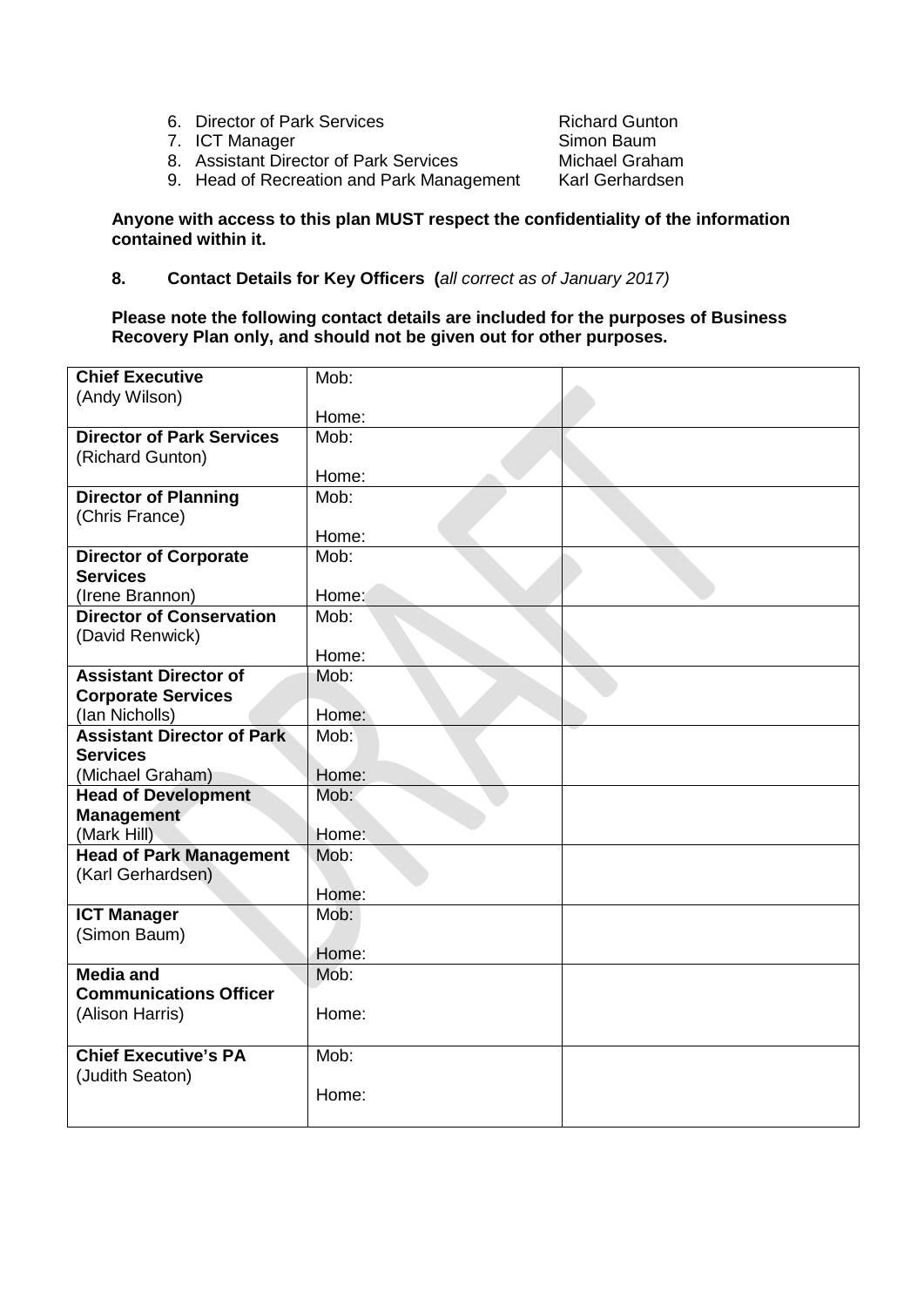- 6. Director of Park Services<br>
7. ICT Manager<br>
2. ICT Manager
- 
- 7. ICT Manager<br>
8. Assistant Director of Park Services Michael Graham 8. Assistant Director of Park Services Michael Graham<br>9. Head of Recreation and Park Management Karl Gerhardsen 9. Head of Recreation and Park Management

# **Anyone with access to this plan MUST respect the confidentiality of the information contained within it.**

# **8. Contact Details for Key Officers (***all correct as of January 2017)*

### **Please note the following contact details are included for the purposes of Business Recovery Plan only, and should not be given out for other purposes.**

| <b>Chief Executive</b>            | Mob:  |  |
|-----------------------------------|-------|--|
| (Andy Wilson)                     |       |  |
|                                   | Home: |  |
| <b>Director of Park Services</b>  | Mob:  |  |
| (Richard Gunton)                  |       |  |
|                                   | Home: |  |
| <b>Director of Planning</b>       | Mob:  |  |
| (Chris France)                    |       |  |
|                                   | Home: |  |
| <b>Director of Corporate</b>      | Mob:  |  |
| <b>Services</b>                   |       |  |
| (Irene Brannon)                   | Home: |  |
| <b>Director of Conservation</b>   | Mob:  |  |
| (David Renwick)                   |       |  |
|                                   | Home: |  |
| <b>Assistant Director of</b>      | Mob:  |  |
| <b>Corporate Services</b>         |       |  |
| (Ian Nicholls)                    | Home: |  |
| <b>Assistant Director of Park</b> | Mob:  |  |
| <b>Services</b>                   |       |  |
| (Michael Graham)                  | Home: |  |
| <b>Head of Development</b>        | Mob:  |  |
| Management                        |       |  |
| (Mark Hill)                       | Home: |  |
| <b>Head of Park Management</b>    | Mob:  |  |
| (Karl Gerhardsen)                 |       |  |
|                                   | Home: |  |
| <b>ICT Manager</b>                | Mob:  |  |
| (Simon Baum)                      |       |  |
|                                   | Home: |  |
| <b>Media and</b>                  | Mob:  |  |
| <b>Communications Officer</b>     |       |  |
| (Alison Harris)                   | Home: |  |
|                                   |       |  |
| <b>Chief Executive's PA</b>       | Mob:  |  |
| (Judith Seaton)                   |       |  |
|                                   | Home: |  |
|                                   |       |  |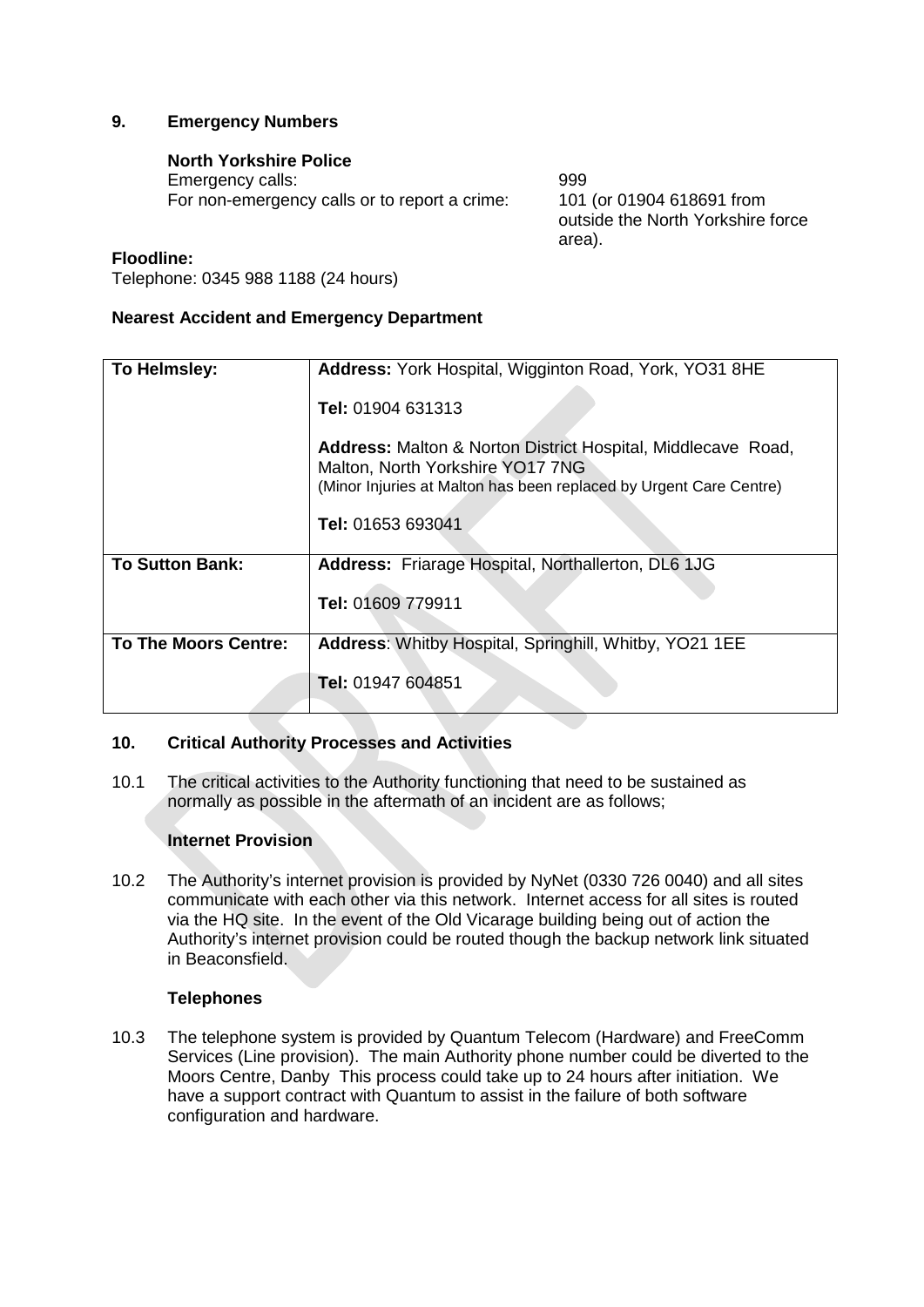# **9. Emergency Numbers**

# **North Yorkshire Police**

Emergency calls: 999 For non-emergency calls or to report a crime: 101 (or 01904 618691 from

outside the North Yorkshire force area).

### **Floodline:**

Telephone: 0345 988 1188 (24 hours)

### **Nearest Accident and Emergency Department**

| To Helmsley:                | Address: York Hospital, Wigginton Road, York, YO31 8HE                                                                                                                        |  |
|-----------------------------|-------------------------------------------------------------------------------------------------------------------------------------------------------------------------------|--|
|                             | Tel: 01904 631313                                                                                                                                                             |  |
|                             | <b>Address:</b> Malton & Norton District Hospital, Middlecave Road,<br>Malton, North Yorkshire YO17 7NG<br>(Minor Injuries at Malton has been replaced by Urgent Care Centre) |  |
|                             | Tel: 01653 693041                                                                                                                                                             |  |
| <b>To Sutton Bank:</b>      | <b>Address:</b> Friarage Hospital, Northallerton, DL6 1JG                                                                                                                     |  |
|                             | Tel: 01609 779911                                                                                                                                                             |  |
| <b>To The Moors Centre:</b> | Address: Whitby Hospital, Springhill, Whitby, YO21 1EE                                                                                                                        |  |
|                             | <b>Tel: 01947 604851</b>                                                                                                                                                      |  |

### **10. Critical Authority Processes and Activities**

10.1 The critical activities to the Authority functioning that need to be sustained as normally as possible in the aftermath of an incident are as follows;

### **Internet Provision**

10.2 The Authority's internet provision is provided by NyNet (0330 726 0040) and all sites communicate with each other via this network. Internet access for all sites is routed via the HQ site. In the event of the Old Vicarage building being out of action the Authority's internet provision could be routed though the backup network link situated in Beaconsfield.

### **Telephones**

10.3 The telephone system is provided by Quantum Telecom (Hardware) and FreeComm Services (Line provision). The main Authority phone number could be diverted to the Moors Centre, Danby This process could take up to 24 hours after initiation. We have a support contract with Quantum to assist in the failure of both software configuration and hardware.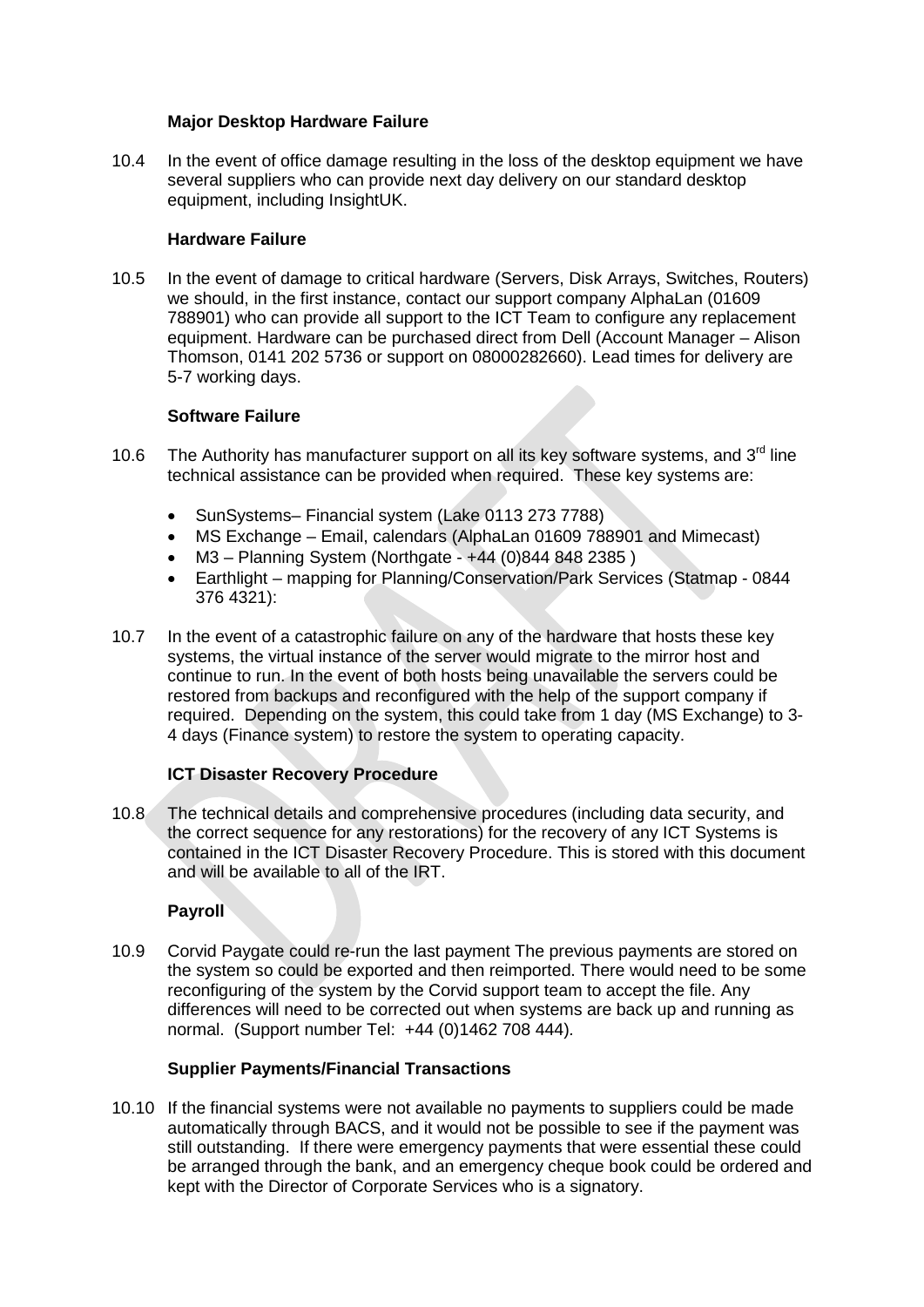## **Major Desktop Hardware Failure**

10.4 In the event of office damage resulting in the loss of the desktop equipment we have several suppliers who can provide next day delivery on our standard desktop equipment, including InsightUK.

# **Hardware Failure**

10.5 In the event of damage to critical hardware (Servers, Disk Arrays, Switches, Routers) we should, in the first instance, contact our support company AlphaLan (01609 788901) who can provide all support to the ICT Team to configure any replacement equipment. Hardware can be purchased direct from Dell (Account Manager – Alison Thomson, 0141 202 5736 or support on 08000282660). Lead times for delivery are 5-7 working days.

# **Software Failure**

- 10.6 The Authority has manufacturer support on all its key software systems, and 3<sup>rd</sup> line technical assistance can be provided when required. These key systems are:
	- SunSystems– Financial system (Lake 0113 273 7788)
	- MS Exchange Email, calendars (AlphaLan 01609 788901 and Mimecast)
	- M3 Planning System (Northgate +44 (0)844 848 2385 )
	- Earthlight mapping for Planning/Conservation/Park Services (Statmap 0844 376 4321):
- 10.7 In the event of a catastrophic failure on any of the hardware that hosts these key systems, the virtual instance of the server would migrate to the mirror host and continue to run. In the event of both hosts being unavailable the servers could be restored from backups and reconfigured with the help of the support company if required. Depending on the system, this could take from 1 day (MS Exchange) to 3- 4 days (Finance system) to restore the system to operating capacity.

### **ICT Disaster Recovery Procedure**

10.8 The technical details and comprehensive procedures (including data security, and the correct sequence for any restorations) for the recovery of any ICT Systems is contained in the ICT Disaster Recovery Procedure. This is stored with this document and will be available to all of the IRT.

# **Payroll**

10.9 Corvid Paygate could re-run the last payment The previous payments are stored on the system so could be exported and then reimported. There would need to be some reconfiguring of the system by the Corvid support team to accept the file. Any differences will need to be corrected out when systems are back up and running as normal. (Support number Tel: +44 (0)1462 708 444)*.*

### **Supplier Payments/Financial Transactions**

10.10 If the financial systems were not available no payments to suppliers could be made automatically through BACS, and it would not be possible to see if the payment was still outstanding. If there were emergency payments that were essential these could be arranged through the bank, and an emergency cheque book could be ordered and kept with the Director of Corporate Services who is a signatory.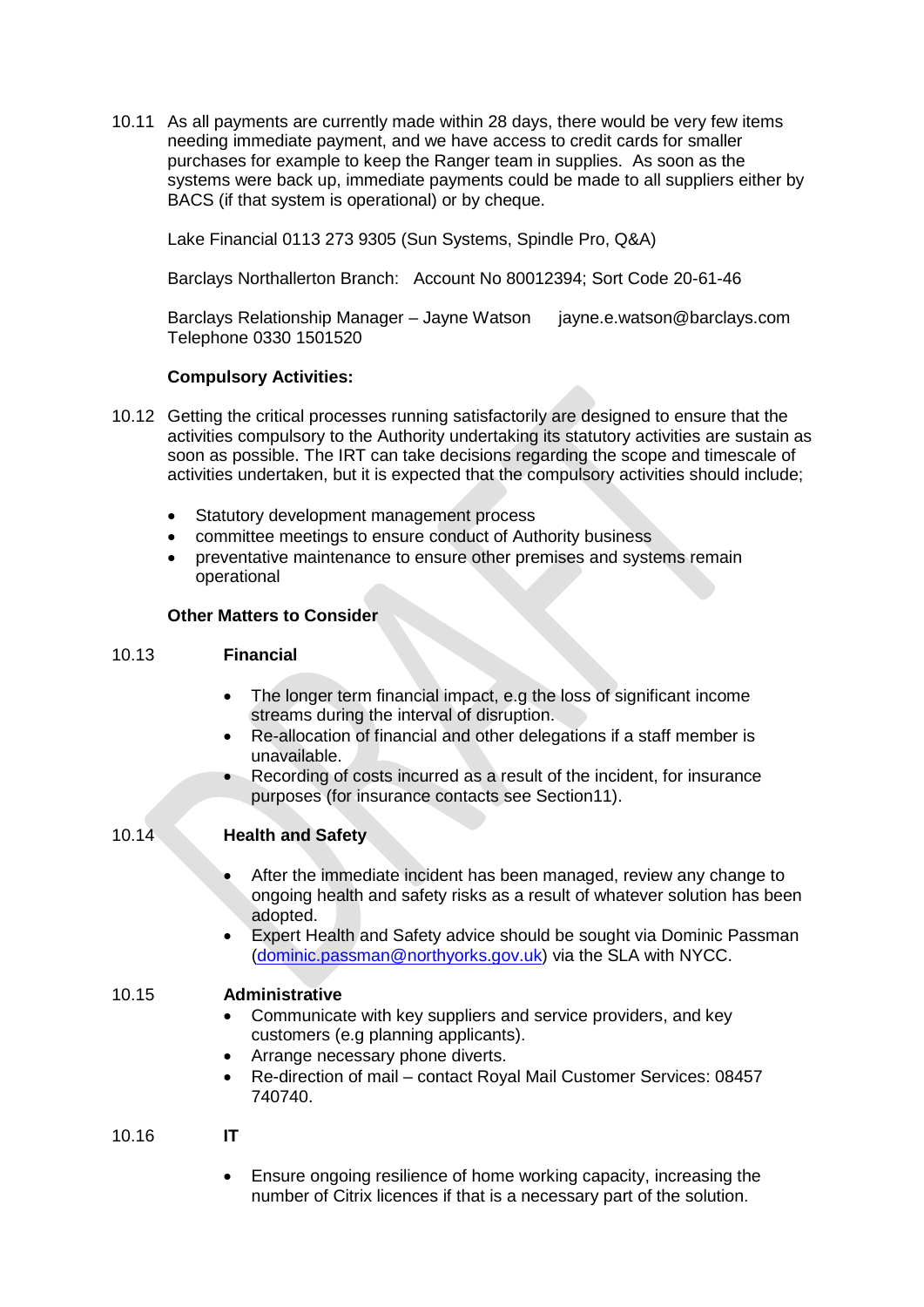10.11 As all payments are currently made within 28 days, there would be very few items needing immediate payment, and we have access to credit cards for smaller purchases for example to keep the Ranger team in supplies. As soon as the systems were back up, immediate payments could be made to all suppliers either by BACS (if that system is operational) or by cheque.

Lake Financial 0113 273 9305 (Sun Systems, Spindle Pro, Q&A)

Barclays Northallerton Branch: Account No 80012394; Sort Code 20-61-46

Barclays Relationship Manager – Jayne Watson jayne.e.watson@barclays.com Telephone 0330 1501520

# **Compulsory Activities:**

- 10.12 Getting the critical processes running satisfactorily are designed to ensure that the activities compulsory to the Authority undertaking its statutory activities are sustain as soon as possible. The IRT can take decisions regarding the scope and timescale of activities undertaken, but it is expected that the compulsory activities should include;
	- Statutory development management process
	- committee meetings to ensure conduct of Authority business
	- preventative maintenance to ensure other premises and systems remain operational

# **Other Matters to Consider**

# 10.13 **Financial**

- The longer term financial impact, e.g the loss of significant income streams during the interval of disruption.
- Re-allocation of financial and other delegations if a staff member is unavailable.
- Recording of costs incurred as a result of the incident, for insurance purposes (for insurance contacts see Section11).

# 10.14 **Health and Safety**

- After the immediate incident has been managed, review any change to ongoing health and safety risks as a result of whatever solution has been adopted.
- Expert Health and Safety advice should be sought via Dominic Passman [\(dominic.passman@northyorks.gov.uk\)](mailto:dominic.passman@northyorks.gov.uk) via the SLA with NYCC.

### 10.15 **Administrative**

- Communicate with key suppliers and service providers, and key customers (e.g planning applicants).
- Arrange necessary phone diverts.
- Re-direction of mail contact Royal Mail Customer Services: 08457 740740.

### 10.16 **IT**

• Ensure ongoing resilience of home working capacity, increasing the number of Citrix licences if that is a necessary part of the solution.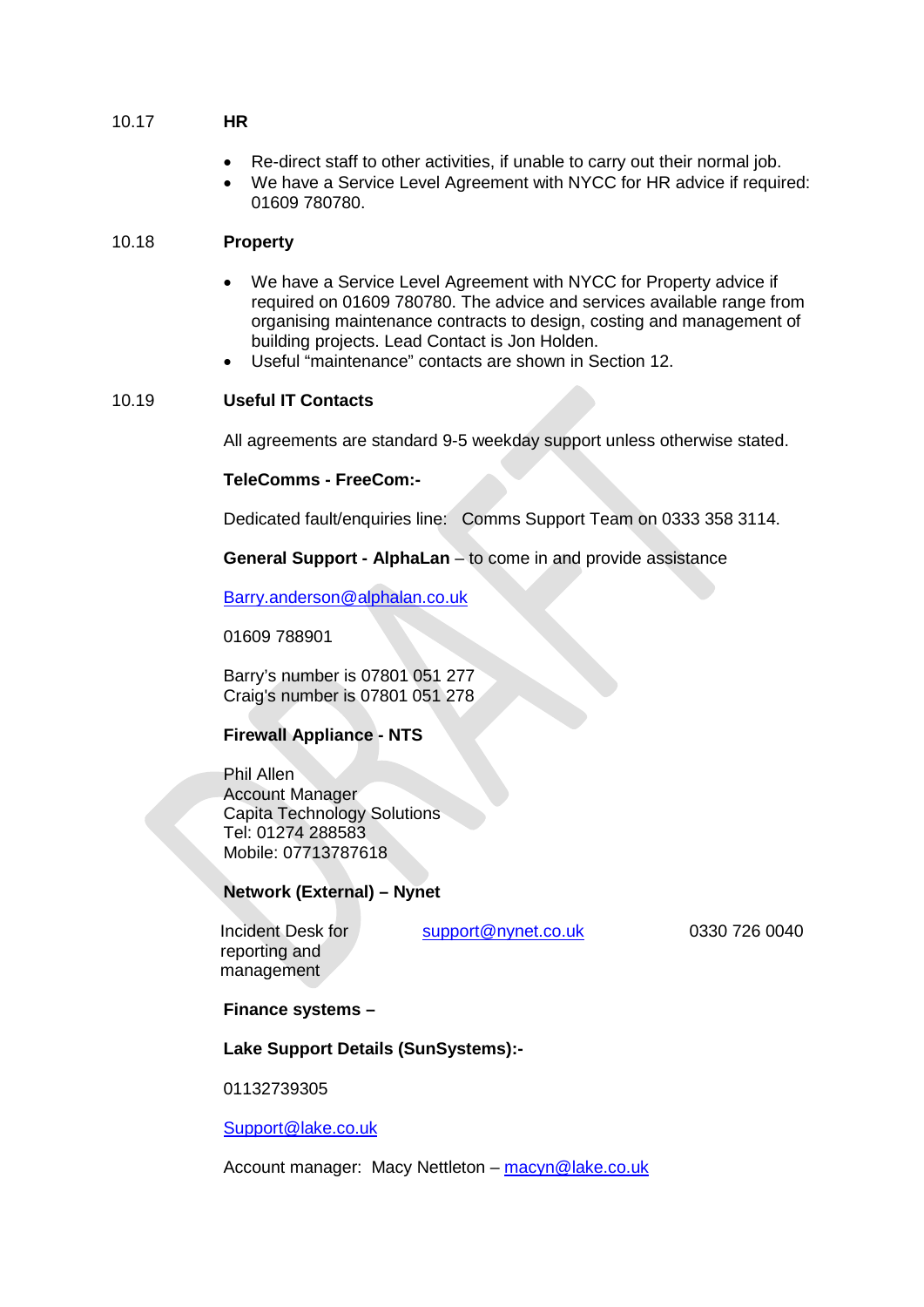- 10.17 **HR**
	- Re-direct staff to other activities, if unable to carry out their normal job.
	- We have a Service Level Agreement with NYCC for HR advice if required: 01609 780780.

### 10.18 **Property**

- We have a Service Level Agreement with NYCC for Property advice if required on 01609 780780. The advice and services available range from organising maintenance contracts to design, costing and management of building projects. Lead Contact is Jon Holden.
- Useful "maintenance" contacts are shown in Section 12.

### 10.19 **Useful IT Contacts**

All agreements are standard 9-5 weekday support unless otherwise stated.

### **TeleComms - FreeCom:-**

Dedicated fault/enquiries line: Comms Support Team on 0333 358 3114.

**General Support - AlphaLan** – to come in and provide assistance

[Barry.anderson@alphalan.co.uk](mailto:Barry.anderson@alphalan.co.uk)

01609 788901

Barry's number is 07801 051 277 Craig's number is 07801 051 278

### **Firewall Appliance - NTS**

Phil Allen Account Manager Capita Technology Solutions Tel: 01274 288583 Mobile: 07713787618

### **Network (External) – Nynet**

 Incident Desk for reporting and management

[support@nynet.co.uk](mailto:support@nynet.co.uk) 0330 726 0040

**Finance systems –**

### **Lake Support Details (SunSystems):-**

01132739305

### [Support@lake.co.uk](mailto:Support@lake.co.uk)

Account manager: Macy Nettleton – [macyn@lake.co.uk](mailto:macyn@lake.co.uk)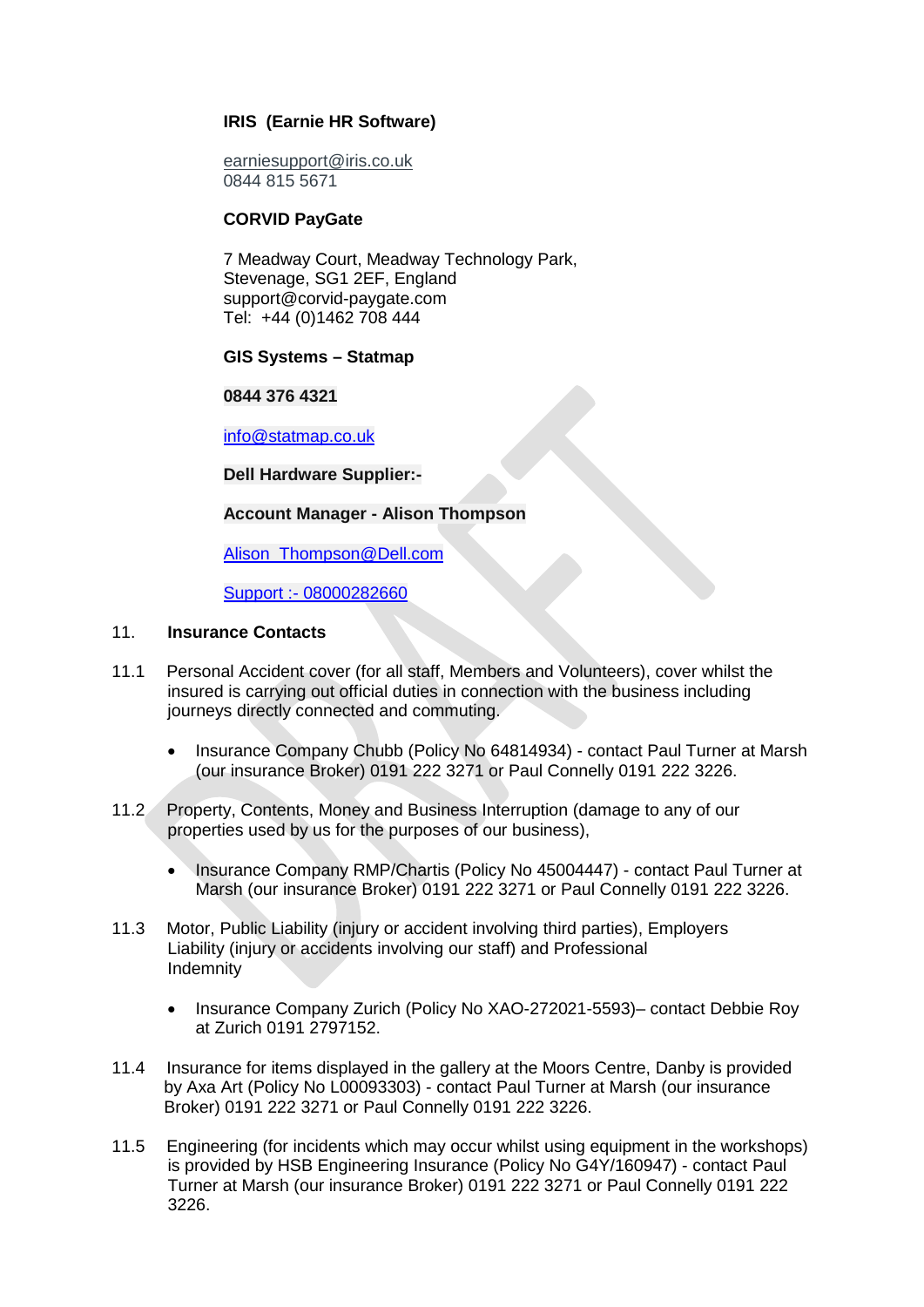# **IRIS (Earnie HR Software)**

[earniesupport@iris.co.uk](mailto:earniesupport@iris.co.uk) 0844 815 5671

### **CORVID PayGate**

7 Meadway Court, Meadway Technology Park, Stevenage, SG1 2EF, England support@corvid-paygate.com Tel: +44 (0)1462 708 444

### **GIS Systems – Statmap**

**0844 376 4321**

[info@statmap.co.uk](mailto:info@statmap.co.uk)

### **Dell Hardware Supplier:-**

### **Account Manager - Alison Thompson**

Alison Thompson@Dell.com

Support :- 08000282660

### 11. **Insurance Contacts**

- 11.1 Personal Accident cover (for all staff, Members and Volunteers), cover whilst the insured is carrying out official duties in connection with the business including journeys directly connected and commuting.
	- Insurance Company Chubb (Policy No 64814934) contact Paul Turner at Marsh (our insurance Broker) 0191 222 3271 or Paul Connelly 0191 222 3226.
- 11.2 Property, Contents, Money and Business Interruption (damage to any of our properties used by us for the purposes of our business),
	- Insurance Company RMP/Chartis (Policy No 45004447) contact Paul Turner at Marsh (our insurance Broker) 0191 222 3271 or Paul Connelly 0191 222 3226.
- 11.3 Motor, Public Liability (injury or accident involving third parties), Employers Liability (injury or accidents involving our staff) and Professional Indemnity
	- Insurance Company Zurich (Policy No XAO-272021-5593)– contact Debbie Roy at Zurich 0191 2797152.
- 11.4 Insurance for items displayed in the gallery at the Moors Centre, Danby is provided by Axa Art (Policy No L00093303) - contact Paul Turner at Marsh (our insurance Broker) 0191 222 3271 or Paul Connelly 0191 222 3226.
- 11.5 Engineering (for incidents which may occur whilst using equipment in the workshops) is provided by HSB Engineering Insurance (Policy No G4Y/160947) - contact Paul Turner at Marsh (our insurance Broker) 0191 222 3271 or Paul Connelly 0191 222 3226.